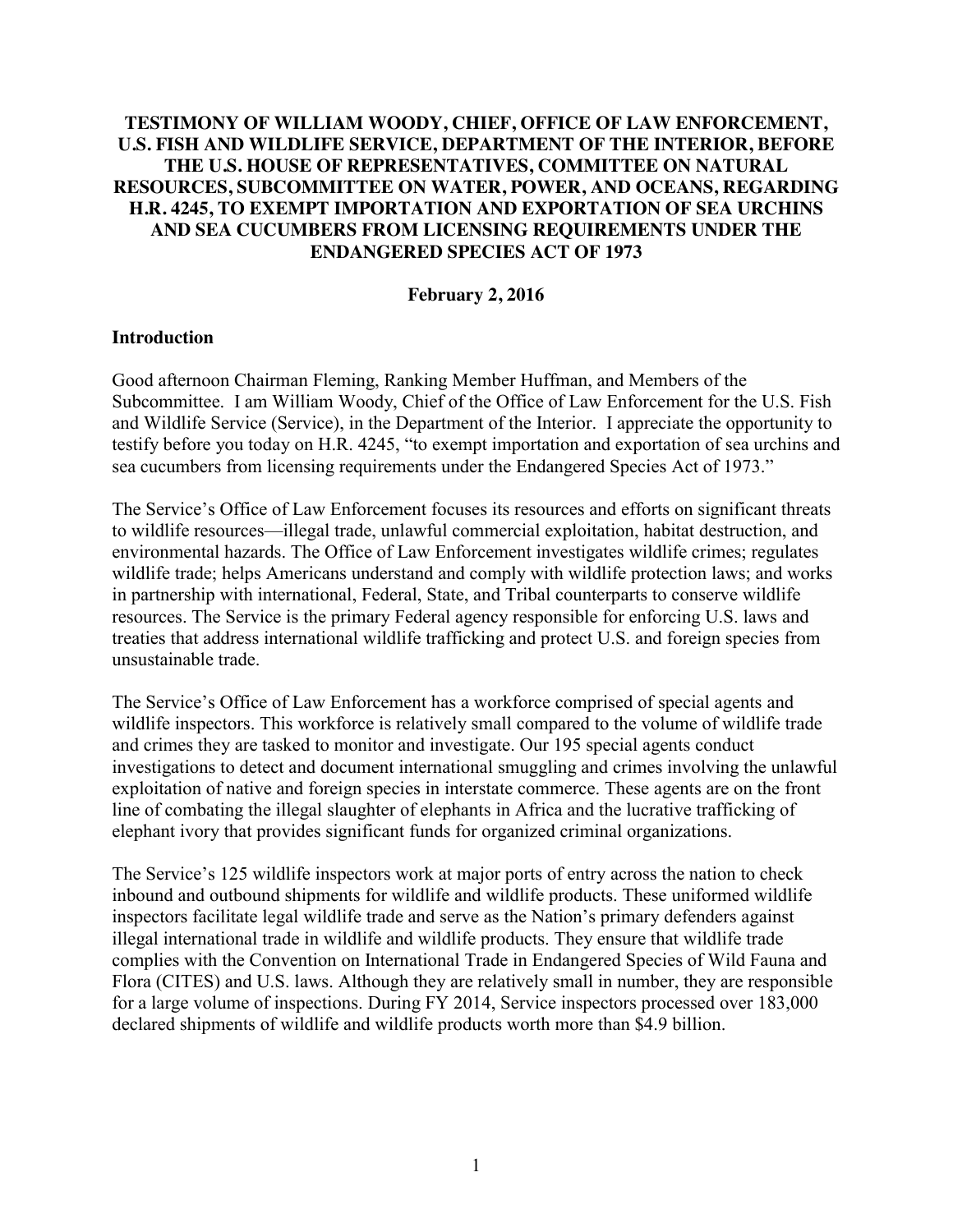# **TESTIMONY OF WILLIAM WOODY, CHIEF, OFFICE OF LAW ENFORCEMENT, U.S. FISH AND WILDLIFE SERVICE, DEPARTMENT OF THE INTERIOR, BEFORE THE U.S. HOUSE OF REPRESENTATIVES, COMMITTEE ON NATURAL RESOURCES, SUBCOMMITTEE ON WATER, POWER, AND OCEANS, REGARDING H.R. 4245, TO EXEMPT IMPORTATION AND EXPORTATION OF SEA URCHINS AND SEA CUCUMBERS FROM LICENSING REQUIREMENTS UNDER THE ENDANGERED SPECIES ACT OF 1973**

### **February 2, 2016**

### **Introduction**

Good afternoon Chairman Fleming, Ranking Member Huffman, and Members of the Subcommittee. I am William Woody, Chief of the Office of Law Enforcement for the U.S. Fish and Wildlife Service (Service), in the Department of the Interior. I appreciate the opportunity to testify before you today on H.R. 4245, "to exempt importation and exportation of sea urchins and sea cucumbers from licensing requirements under the Endangered Species Act of 1973."

The Service's Office of Law Enforcement focuses its resources and efforts on significant threats to wildlife resources—illegal trade, unlawful commercial exploitation, habitat destruction, and environmental hazards. The Office of Law Enforcement investigates wildlife crimes; regulates wildlife trade; helps Americans understand and comply with wildlife protection laws; and works in partnership with international, Federal, State, and Tribal counterparts to conserve wildlife resources. The Service is the primary Federal agency responsible for enforcing U.S. laws and treaties that address international wildlife trafficking and protect U.S. and foreign species from unsustainable trade.

The Service's Office of Law Enforcement has a workforce comprised of special agents and wildlife inspectors. This workforce is relatively small compared to the volume of wildlife trade and crimes they are tasked to monitor and investigate. Our 195 special agents conduct investigations to detect and document international smuggling and crimes involving the unlawful exploitation of native and foreign species in interstate commerce. These agents are on the front line of combating the illegal slaughter of elephants in Africa and the lucrative trafficking of elephant ivory that provides significant funds for organized criminal organizations.

The Service's 125 wildlife inspectors work at major ports of entry across the nation to check inbound and outbound shipments for wildlife and wildlife products. These uniformed wildlife inspectors facilitate legal wildlife trade and serve as the Nation's primary defenders against illegal international trade in wildlife and wildlife products. They ensure that wildlife trade complies with the Convention on International Trade in Endangered Species of Wild Fauna and Flora (CITES) and U.S. laws. Although they are relatively small in number, they are responsible for a large volume of inspections. During FY 2014, Service inspectors processed over 183,000 declared shipments of wildlife and wildlife products worth more than \$4.9 billion.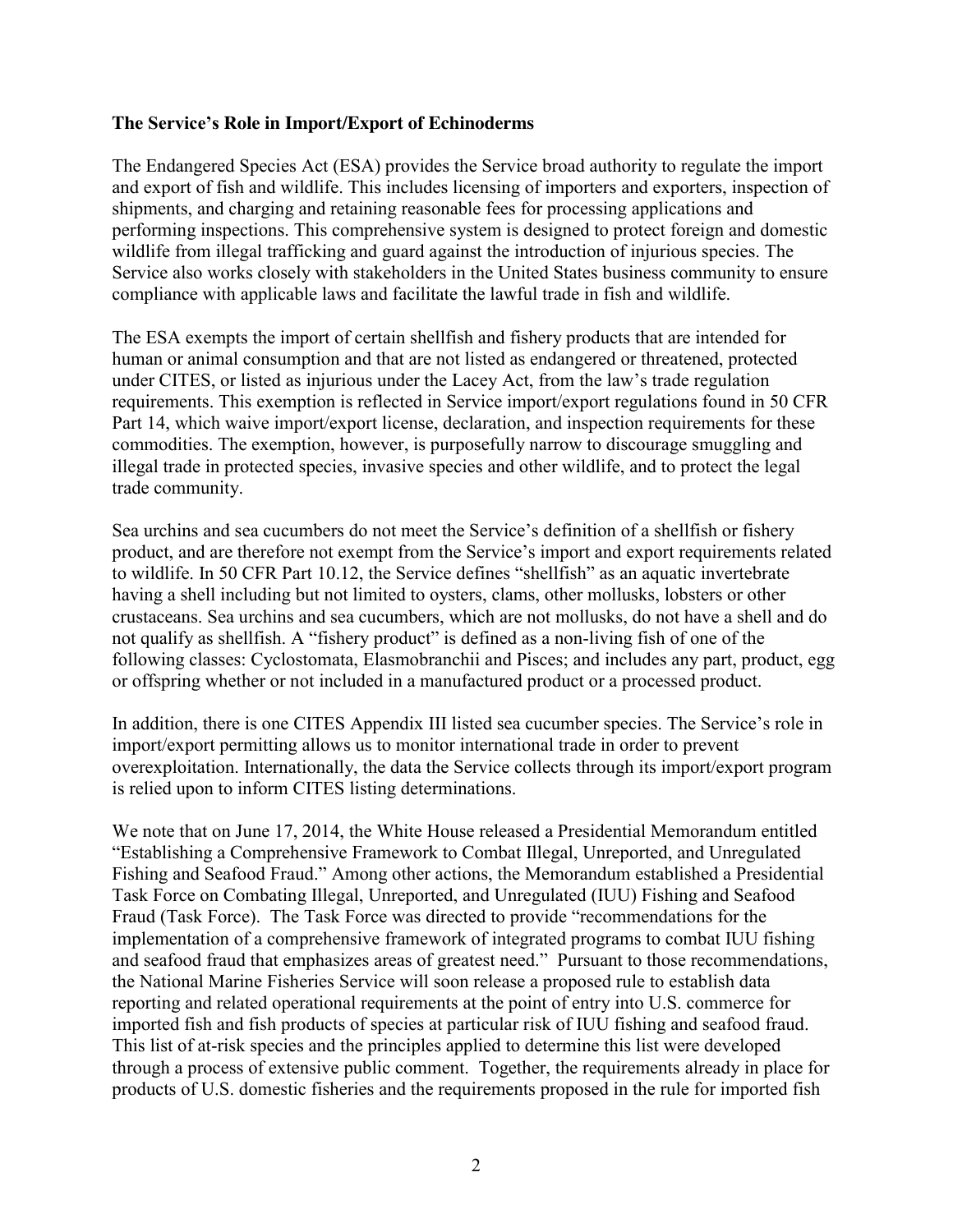### **The Service's Role in Import/Export of Echinoderms**

The Endangered Species Act (ESA) provides the Service broad authority to regulate the import and export of fish and wildlife. This includes licensing of importers and exporters, inspection of shipments, and charging and retaining reasonable fees for processing applications and performing inspections. This comprehensive system is designed to protect foreign and domestic wildlife from illegal trafficking and guard against the introduction of injurious species. The Service also works closely with stakeholders in the United States business community to ensure compliance with applicable laws and facilitate the lawful trade in fish and wildlife.

The ESA exempts the import of certain shellfish and fishery products that are intended for human or animal consumption and that are not listed as endangered or threatened, protected under CITES, or listed as injurious under the Lacey Act, from the law's trade regulation requirements. This exemption is reflected in Service import/export regulations found in 50 CFR Part 14, which waive import/export license, declaration, and inspection requirements for these commodities. The exemption, however, is purposefully narrow to discourage smuggling and illegal trade in protected species, invasive species and other wildlife, and to protect the legal trade community.

Sea urchins and sea cucumbers do not meet the Service's definition of a shellfish or fishery product, and are therefore not exempt from the Service's import and export requirements related to wildlife. In 50 CFR Part 10.12, the Service defines "shellfish" as an aquatic invertebrate having a shell including but not limited to oysters, clams, other mollusks, lobsters or other crustaceans. Sea urchins and sea cucumbers, which are not mollusks, do not have a shell and do not qualify as shellfish. A "fishery product" is defined as a non-living fish of one of the following classes: Cyclostomata, Elasmobranchii and Pisces; and includes any part, product, egg or offspring whether or not included in a manufactured product or a processed product.

In addition, there is one CITES Appendix III listed sea cucumber species. The Service's role in import/export permitting allows us to monitor international trade in order to prevent overexploitation. Internationally, the data the Service collects through its import/export program is relied upon to inform CITES listing determinations.

We note that on June 17, 2014, the White House released a Presidential Memorandum entitled "Establishing a Comprehensive Framework to Combat Illegal, Unreported, and Unregulated Fishing and Seafood Fraud." Among other actions, the Memorandum established a Presidential Task Force on Combating Illegal, Unreported, and Unregulated (IUU) Fishing and Seafood Fraud (Task Force). The Task Force was directed to provide "recommendations for the implementation of a comprehensive framework of integrated programs to combat IUU fishing and seafood fraud that emphasizes areas of greatest need." Pursuant to those recommendations, the National Marine Fisheries Service will soon release a proposed rule to establish data reporting and related operational requirements at the point of entry into U.S. commerce for imported fish and fish products of species at particular risk of IUU fishing and seafood fraud. This list of at-risk species and the principles applied to determine this list were developed through a process of extensive public comment. Together, the requirements already in place for products of U.S. domestic fisheries and the requirements proposed in the rule for imported fish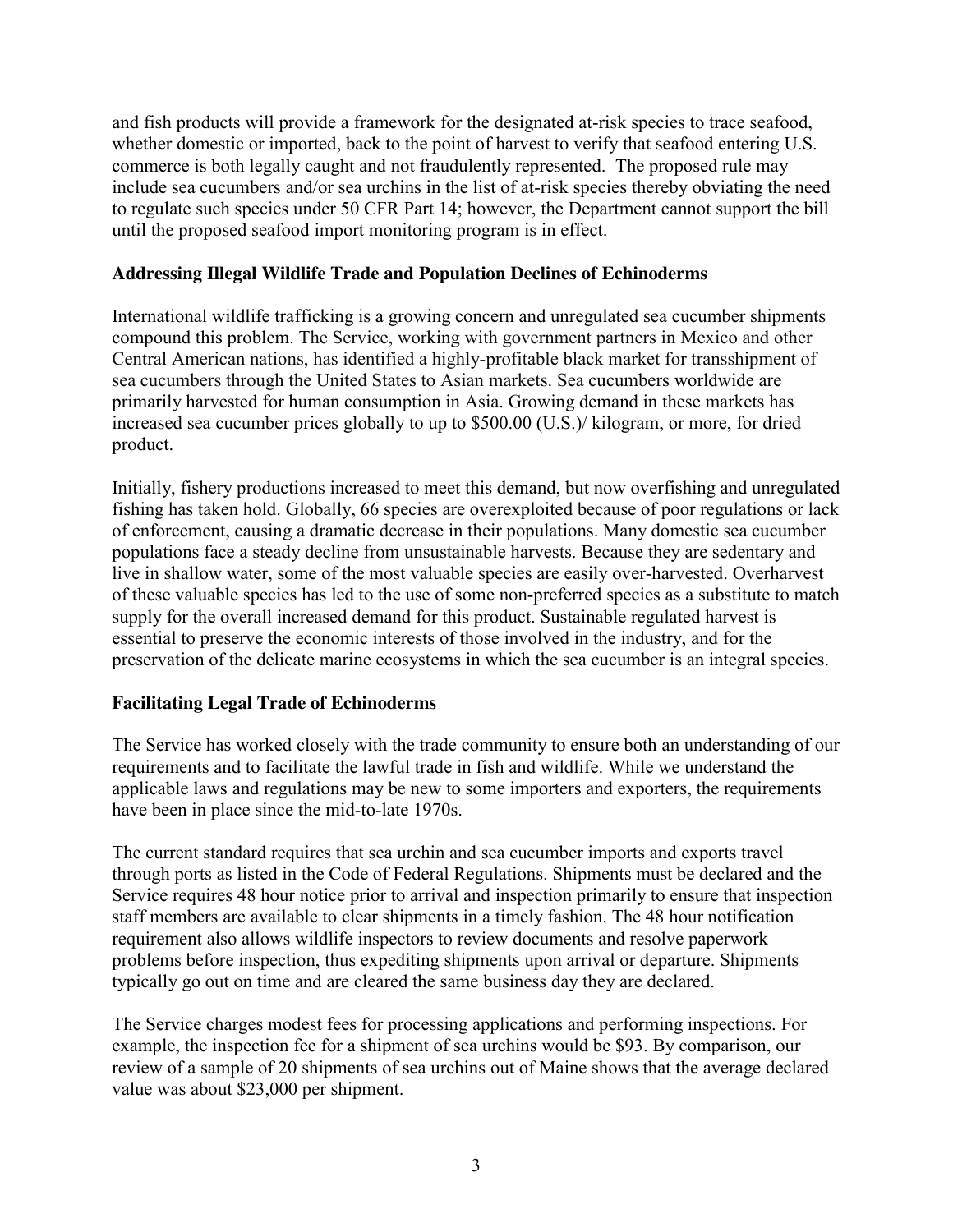and fish products will provide a framework for the designated at-risk species to trace seafood, whether domestic or imported, back to the point of harvest to verify that seafood entering U.S. commerce is both legally caught and not fraudulently represented. The proposed rule may include sea cucumbers and/or sea urchins in the list of at-risk species thereby obviating the need to regulate such species under 50 CFR Part 14; however, the Department cannot support the bill until the proposed seafood import monitoring program is in effect.

## **Addressing Illegal Wildlife Trade and Population Declines of Echinoderms**

International wildlife trafficking is a growing concern and unregulated sea cucumber shipments compound this problem. The Service, working with government partners in Mexico and other Central American nations, has identified a highly-profitable black market for transshipment of sea cucumbers through the United States to Asian markets. Sea cucumbers worldwide are primarily harvested for human consumption in Asia. Growing demand in these markets has increased sea cucumber prices globally to up to \$500.00 (U.S.)/ kilogram, or more, for dried product.

Initially, fishery productions increased to meet this demand, but now overfishing and unregulated fishing has taken hold. Globally, 66 species are overexploited because of poor regulations or lack of enforcement, causing a dramatic decrease in their populations. Many domestic sea cucumber populations face a steady decline from unsustainable harvests. Because they are sedentary and live in shallow water, some of the most valuable species are easily over-harvested. Overharvest of these valuable species has led to the use of some non-preferred species as a substitute to match supply for the overall increased demand for this product. Sustainable regulated harvest is essential to preserve the economic interests of those involved in the industry, and for the preservation of the delicate marine ecosystems in which the sea cucumber is an integral species.

# **Facilitating Legal Trade of Echinoderms**

The Service has worked closely with the trade community to ensure both an understanding of our requirements and to facilitate the lawful trade in fish and wildlife. While we understand the applicable laws and regulations may be new to some importers and exporters, the requirements have been in place since the mid-to-late 1970s.

The current standard requires that sea urchin and sea cucumber imports and exports travel through ports as listed in the Code of Federal Regulations. Shipments must be declared and the Service requires 48 hour notice prior to arrival and inspection primarily to ensure that inspection staff members are available to clear shipments in a timely fashion. The 48 hour notification requirement also allows wildlife inspectors to review documents and resolve paperwork problems before inspection, thus expediting shipments upon arrival or departure. Shipments typically go out on time and are cleared the same business day they are declared.

The Service charges modest fees for processing applications and performing inspections. For example, the inspection fee for a shipment of sea urchins would be \$93. By comparison, our review of a sample of 20 shipments of sea urchins out of Maine shows that the average declared value was about \$23,000 per shipment.